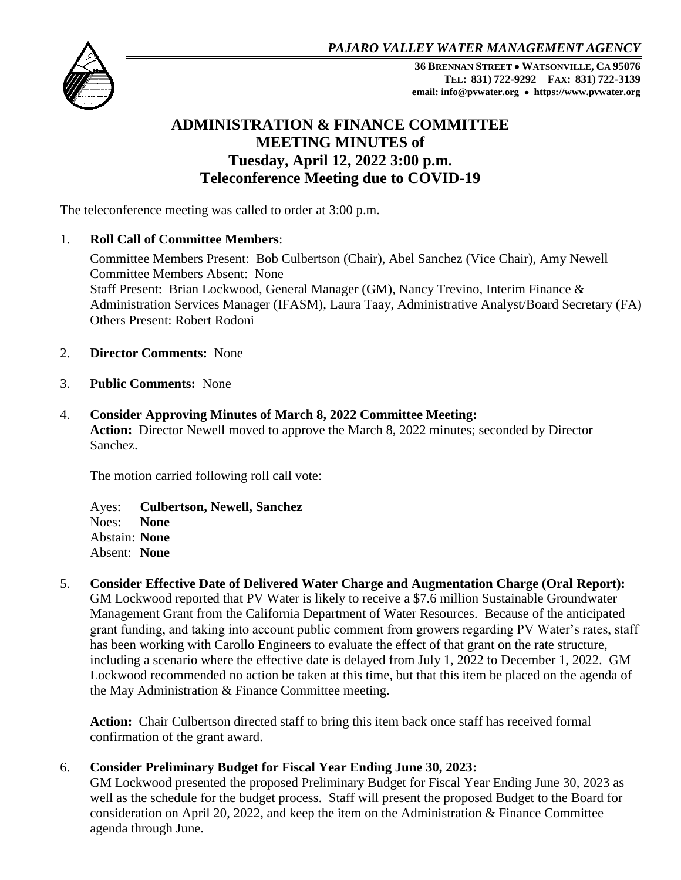*PAJARO VALLEY WATER MANAGEMENT AGENCY*



**36 BRENNAN STREET WATSONVILLE, CA 95076 TEL: 831) 722-9292 FAX: 831) 722-3139 email: info@pvwater.org https://www.pvwater.org**

# **ADMINISTRATION & FINANCE COMMITTEE MEETING MINUTES of Tuesday, April 12, 2022 3:00 p.m. Teleconference Meeting due to COVID-19**

The teleconference meeting was called to order at 3:00 p.m.

## 1. **Roll Call of Committee Members**:

Committee Members Present: Bob Culbertson (Chair), Abel Sanchez (Vice Chair), Amy Newell Committee Members Absent: None Staff Present: Brian Lockwood, General Manager (GM), Nancy Trevino, Interim Finance & Administration Services Manager (IFASM), Laura Taay, Administrative Analyst/Board Secretary (FA) Others Present: Robert Rodoni

- 2. **Director Comments:** None
- 3. **Public Comments:** None
- 4. **Consider Approving Minutes of March 8, 2022 Committee Meeting: Action:** Director Newell moved to approve the March 8, 2022 minutes; seconded by Director Sanchez.

The motion carried following roll call vote:

Ayes: **Culbertson, Newell, Sanchez** Noes: **None** Abstain: **None** Absent: **None**

5. **Consider Effective Date of Delivered Water Charge and Augmentation Charge (Oral Report):**

GM Lockwood reported that PV Water is likely to receive a \$7.6 million Sustainable Groundwater Management Grant from the California Department of Water Resources. Because of the anticipated grant funding, and taking into account public comment from growers regarding PV Water's rates, staff has been working with Carollo Engineers to evaluate the effect of that grant on the rate structure, including a scenario where the effective date is delayed from July 1, 2022 to December 1, 2022. GM Lockwood recommended no action be taken at this time, but that this item be placed on the agenda of the May Administration & Finance Committee meeting.

**Action:** Chair Culbertson directed staff to bring this item back once staff has received formal confirmation of the grant award.

## 6. **Consider Preliminary Budget for Fiscal Year Ending June 30, 2023:**

GM Lockwood presented the proposed Preliminary Budget for Fiscal Year Ending June 30, 2023 as well as the schedule for the budget process. Staff will present the proposed Budget to the Board for consideration on April 20, 2022, and keep the item on the Administration & Finance Committee agenda through June.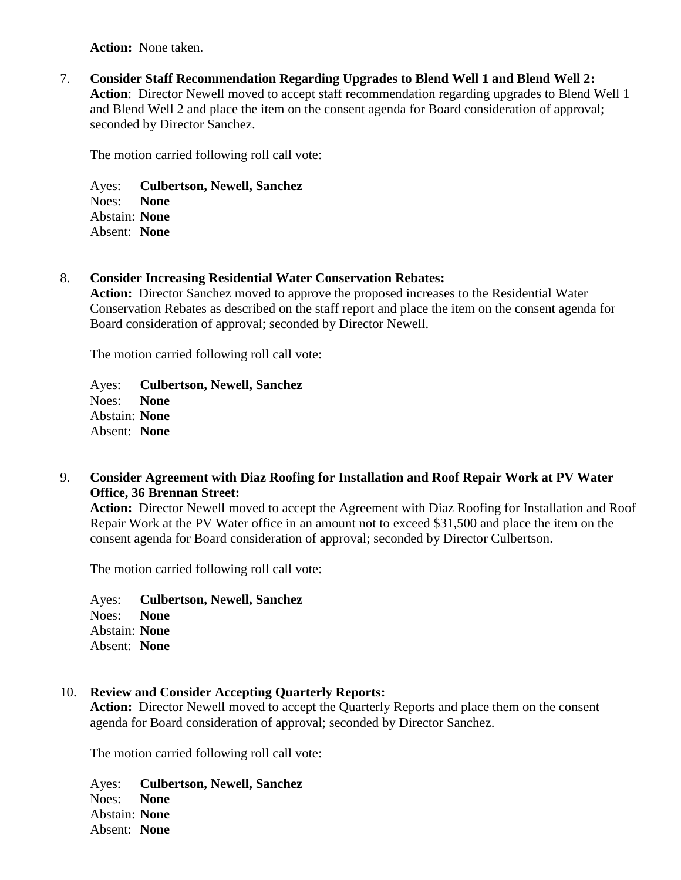**Action:** None taken.

7. **Consider Staff Recommendation Regarding Upgrades to Blend Well 1 and Blend Well 2: Action**: Director Newell moved to accept staff recommendation regarding upgrades to Blend Well 1 and Blend Well 2 and place the item on the consent agenda for Board consideration of approval; seconded by Director Sanchez.

The motion carried following roll call vote:

Ayes: **Culbertson, Newell, Sanchez** Noes: **None** Abstain: **None** Absent: **None**

#### 8. **Consider Increasing Residential Water Conservation Rebates:**

**Action:** Director Sanchez moved to approve the proposed increases to the Residential Water Conservation Rebates as described on the staff report and place the item on the consent agenda for Board consideration of approval; seconded by Director Newell.

The motion carried following roll call vote:

Ayes: **Culbertson, Newell, Sanchez** Noes: **None** Abstain: **None** Absent: **None**

9. **Consider Agreement with Diaz Roofing for Installation and Roof Repair Work at PV Water Office, 36 Brennan Street:**

**Action:** Director Newell moved to accept the Agreement with Diaz Roofing for Installation and Roof Repair Work at the PV Water office in an amount not to exceed \$31,500 and place the item on the consent agenda for Board consideration of approval; seconded by Director Culbertson.

The motion carried following roll call vote:

Ayes: **Culbertson, Newell, Sanchez** Noes: **None** Abstain: **None** Absent: **None**

## 10. **Review and Consider Accepting Quarterly Reports:**

**Action:** Director Newell moved to accept the Quarterly Reports and place them on the consent agenda for Board consideration of approval; seconded by Director Sanchez.

The motion carried following roll call vote:

Ayes: **Culbertson, Newell, Sanchez** Noes: **None** Abstain: **None** Absent: **None**